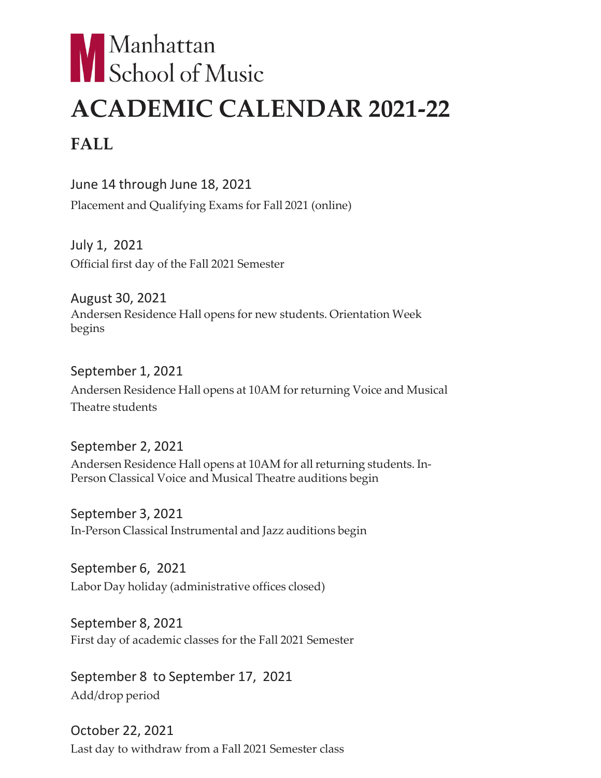## Manhattan<br>School of Music **ACADEMIC CALENDAR 2021-22 FALL**

June 14 through June 18, 2021

Placement and Qualifying Exams for Fall 2021 (online)

July 1, 2021 Official first day of the Fall 2021 Semester

August 30, 2021 Andersen Residence Hall opens for new students. Orientation Week begins

## September 1, 2021

Andersen Residence Hall opens at 10AM for returning Voice and Musical Theatre students

September 2, 2021 Andersen Residence Hall opens at 10AM for all returning students. In-Person Classical Voice and Musical Theatre auditions begin

September 3, 2021 In-Person Classical Instrumental and Jazz auditions begin

September 6, 2021 Labor Day holiday (administrative offices closed)

September 8, 2021 First day of academic classes for the Fall 2021 Semester

September 8 to September 17, 2021 Add/drop period

October 22, 2021 Last day to withdraw from a Fall 2021 Semester class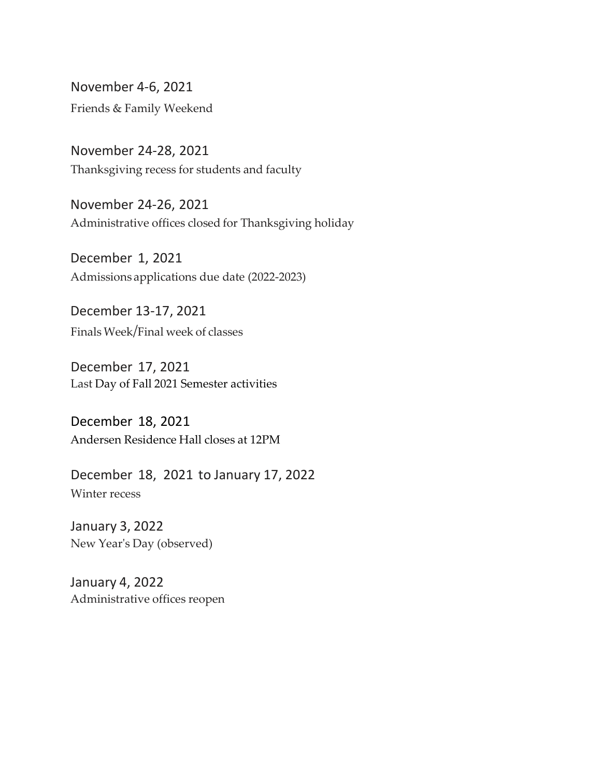November 4-6, 2021 Friends & Family Weekend

November 24-28, 2021 Thanksgiving recess for students and faculty

November 24-26, 2021 Administrative offices closed for Thanksgiving holiday

December 1, 2021 Admissions applications due date (2022-2023)

December 13-17, 2021 FinalsWeek/Final week of classes

December 17, 2021 Last Day of Fall 2021 Semester activities

December 18, 2021 Andersen Residence Hall closes at 12PM

December 18, 2021 to January 17, 2022 Winter recess

January 3, 2022 New Year's Day (observed)

January 4, 2022 Administrative offices reopen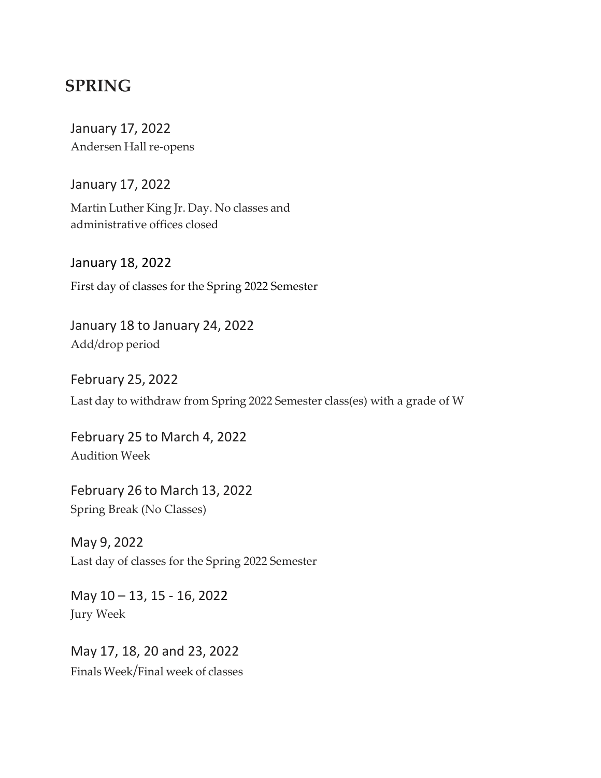## **SPRING**

January 17, 2022 Andersen Hall re-opens

January 17, 2022

Martin Luther King Jr. Day. No classes and administrative offices closed

January 18, 2022 First day of classes for the Spring 2022 Semester

January 18 to January 24, 2022 Add/drop period

February 25, 2022 Last day to withdraw from Spring 2022 Semester class(es) with a grade of W

February 25 to March 4, 2022 Audition Week

February 26 to March 13, 2022 Spring Break (No Classes)

May 9, 2022 Last day of classes for the Spring 2022 Semester

May 10 – 13, 15 - 16, 2022 Jury Week

May 17, 18, 20 and 23, 2022 FinalsWeek/Final week of classes